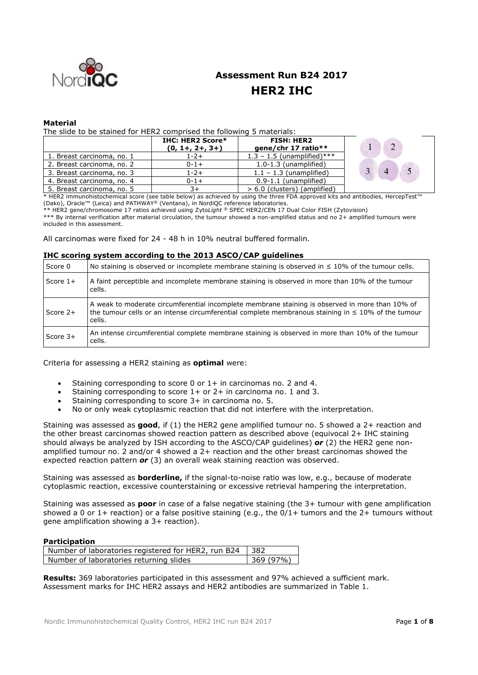

# **Assessment Run B24 2017 HER2 IHC**

## **Material**

The slide to be stained for HER2 comprised the following 5 materials:

|                            | <b>IHC: HER2 Score*</b><br>$(0, 1+, 2+, 3+)$ | <b>FISH: HER2</b><br>qene/chr 17 ratio** |  |
|----------------------------|----------------------------------------------|------------------------------------------|--|
| 1. Breast carcinoma, no. 1 | $1 - 2 +$                                    | $1.3 - 1.5$ (unamplified)***             |  |
| 2. Breast carcinoma, no. 2 | $0 - 1 +$                                    | $1.0-1.3$ (unamplified)                  |  |
| 3. Breast carcinoma, no. 3 | $1 - 2 +$                                    | $1.1 - 1.3$ (unamplified)                |  |
| 4. Breast carcinoma, no. 4 | $0 - 1 +$                                    | $0.9-1.1$ (unamplified)                  |  |
| 5. Breast carcinoma, no. 5 |                                              | $> 6.0$ (clusters) (amplified)           |  |

\* HER2 immunohistochemical score (see table below) as achieved by using the three FDA approved kits and antibodies, HercepTest™ (Dako), Oracle™ (Leica) and PATHWAY® (Ventana), in NordiQC reference laboratories.

\*\* HER2 gene/chromosome 17 ratios achieved using Zyto*Light ®* SPEC HER2/CEN 17 Dual Color FISH (Zytovision)

\*\*\* By internal verification after material circulation, the tumour showed a non-amplified status and no 2+ amplified tumours were included in this assessment.

All carcinomas were fixed for 24 - 48 h in 10% neutral buffered formalin.

#### **IHC scoring system according to the 2013 ASCO/CAP guidelines**

| Score 0    | No staining is observed or incomplete membrane staining is observed in $\leq 10\%$ of the tumour cells.                                                                                                               |
|------------|-----------------------------------------------------------------------------------------------------------------------------------------------------------------------------------------------------------------------|
| Score $1+$ | A faint perceptible and incomplete membrane staining is observed in more than 10% of the tumour<br>cells.                                                                                                             |
| Score 2+   | A weak to moderate circumferential incomplete membrane staining is observed in more than 10% of<br>the tumour cells or an intense circumferential complete membranous staining in $\leq 10\%$ of the tumour<br>cells. |
| Score $3+$ | An intense circumferential complete membrane staining is observed in more than 10% of the tumour<br>cells.                                                                                                            |

#### Criteria for assessing a HER2 staining as **optimal** were:

- Staining corresponding to score 0 or 1+ in carcinomas no. 2 and 4.
- Staining corresponding to score  $1+$  or  $2+$  in carcinoma no. 1 and 3.
- Staining corresponding to score 3+ in carcinoma no. 5.
- No or only weak cytoplasmic reaction that did not interfere with the interpretation.

Staining was assessed as **good**, if (1) the HER2 gene amplified tumour no. 5 showed a 2+ reaction and the other breast carcinomas showed reaction pattern as described above (equivocal 2+ IHC staining should always be analyzed by ISH according to the ASCO/CAP guidelines) *or* (2) the HER2 gene nonamplified tumour no. 2 and/or 4 showed a 2+ reaction and the other breast carcinomas showed the expected reaction pattern *or* (3) an overall weak staining reaction was observed.

Staining was assessed as **borderline,** if the signal-to-noise ratio was low, e.g., because of moderate cytoplasmic reaction, excessive counterstaining or excessive retrieval hampering the interpretation.

Staining was assessed as **poor** in case of a false negative staining (the 3+ tumour with gene amplification showed a 0 or 1+ reaction) or a false positive staining (e.g., the  $0/1+$  tumors and the 2+ tumours without gene amplification showing a 3+ reaction).

### **Participation**

| Number of laboratories registered for HER2, run B24   382 |          |
|-----------------------------------------------------------|----------|
| Number of laboratories returning slides                   | 369(97%) |

**Results:** 369 laboratories participated in this assessment and 97% achieved a sufficient mark. Assessment marks for IHC HER2 assays and HER2 antibodies are summarized in Table 1.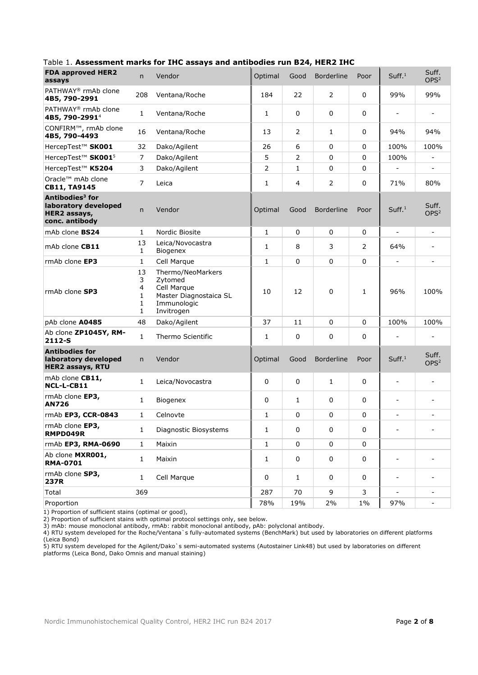| <b>FDA approved HER2</b><br>assays                                                    | n                           | Vendor                                                                                             | Optimal           | Good           | <b>Borderline</b> | Poor           | Suff. <sup>1</sup>           | Suff.<br>OPS <sup>2</sup>    |
|---------------------------------------------------------------------------------------|-----------------------------|----------------------------------------------------------------------------------------------------|-------------------|----------------|-------------------|----------------|------------------------------|------------------------------|
| PATHWAY <sup>®</sup> rmAb clone<br>4B5, 790-2991                                      | 208                         | Ventana/Roche                                                                                      | 184               | 22             | $\overline{2}$    | 0              | 99%                          | 99%                          |
| PATHWAY <sup>®</sup> rmAb clone<br>4B5, 790-2991 <sup>4</sup>                         | 1                           | Ventana/Roche                                                                                      | 1                 | 0              | 0                 | 0              | $\overline{\phantom{0}}$     | ÷,                           |
| CONFIRM™, rmAb clone<br>4B5, 790-4493                                                 | 16                          | Ventana/Roche                                                                                      | 2<br>0<br>13<br>1 |                | 94%               | 94%            |                              |                              |
| HercepTest <sup>™</sup> SK001                                                         | 32                          | Dako/Agilent                                                                                       | 26                | 6              | 0                 | $\mathbf 0$    | 100%                         | 100%                         |
| HercepTest <sup>™</sup> SK001 <sup>5</sup>                                            | $\overline{7}$              | Dako/Agilent                                                                                       | 5                 | $\overline{2}$ | 0                 | 0              | 100%                         |                              |
| HercepTest <sup>™</sup> K5204                                                         | 3                           | Dako/Agilent                                                                                       | $\overline{2}$    | $\mathbf{1}$   | 0                 | 0              |                              |                              |
| Oracle™ mAb clone<br>CB11, TA9145                                                     | $\overline{7}$              | Leica                                                                                              | 1                 | 4              | 2                 | 0              | 71%                          | 80%                          |
| Antibodies <sup>3</sup> for<br>laboratory developed<br>HER2 assays,<br>conc. antibody | $\mathsf{n}$                | Vendor                                                                                             | Optimal           | Good           | <b>Borderline</b> | Poor           | Suff. <sup>1</sup>           | Suff.<br>OPS <sup>2</sup>    |
| mAb clone BS24                                                                        | 1                           | Nordic Biosite                                                                                     | 1                 | 0              | 0                 | 0              | $\overline{\phantom{0}}$     | $\overline{a}$               |
| mAb clone CB11                                                                        | 13<br>1                     | Leica/Novocastra<br><b>Biogenex</b>                                                                | 1                 | 8              | 3                 | $\overline{2}$ | 64%                          |                              |
| rmAb clone EP3                                                                        | 1                           | Cell Marque                                                                                        | $\mathbf{1}$      | $\mathbf 0$    | 0                 | $\mathbf 0$    | $\qquad \qquad \blacksquare$ | $\qquad \qquad \blacksquare$ |
| rmAb clone SP3                                                                        | 13<br>3<br>4<br>1<br>1<br>1 | Thermo/NeoMarkers<br>Zytomed<br>Cell Marque<br>Master Diagnostaica SL<br>Immunologic<br>Invitrogen | 10                | 12             | 0                 | $\mathbf{1}$   | 96%                          | 100%                         |
| pAb clone A0485                                                                       | 48                          | Dako/Agilent                                                                                       | 37                | 11             | 0                 | 0              | 100%                         | 100%                         |
| Ab clone ZP1045Y, RM-<br>2112-S                                                       | 1                           | Thermo Scientific                                                                                  | 1                 | 0              | 0                 | 0              | $\overline{\phantom{0}}$     | ÷                            |
| <b>Antibodies for</b><br>laboratory developed<br><b>HER2 assays, RTU</b>              | n                           | Vendor                                                                                             | Optimal           | Good           | <b>Borderline</b> | Poor           | Suff. <sup>1</sup>           | Suff.<br>OPS <sup>2</sup>    |
| mAb clone CB11,<br>NCL-L-CB11                                                         | $\mathbf{1}$                | Leica/Novocastra                                                                                   | 0                 | $\mathbf 0$    | $\mathbf{1}$      | $\mathbf 0$    | $\overline{a}$               |                              |
| rmAb clone EP3,<br><b>AN726</b>                                                       | 1                           | Biogenex                                                                                           | 0                 | $\mathbf{1}$   | 0                 | 0              | $\overline{\phantom{0}}$     | ÷                            |
| rmAb EP3, CCR-0843                                                                    | 1                           | Celnovte                                                                                           | 1                 | 0              | 0                 | 0              | -                            | -                            |
| rmAb clone EP3,<br>RMPD049R                                                           | 1                           | Diagnostic Biosystems                                                                              | 1                 | 0              | 0                 | 0              |                              |                              |
| rmAb EP3, RMA-0690                                                                    | 1                           | Maixin                                                                                             | 1                 | $\pmb{0}$      | 0                 | 0              |                              |                              |
| Ab clone MXR001,<br><b>RMA-0701</b>                                                   | 1                           | Maixin                                                                                             | 1                 | $\pmb{0}$      | 0                 | 0              |                              |                              |
| rmAb clone SP3,<br>237R                                                               | 1                           | Cell Marque                                                                                        | 0                 | $\mathbf{1}$   | 0                 | 0              | $\overline{a}$               |                              |
| Total                                                                                 | 369                         |                                                                                                    | 287               | 70             | 9                 | 3              | $\blacksquare$               | $\blacksquare$               |
| Proportion                                                                            |                             |                                                                                                    | 78%               | 19%            | 2%                | $1\%$          | 97%                          |                              |

# Table 1. **Assessment marks for IHC assays and antibodies run B24, HER2 IHC**

1) Proportion of sufficient stains (optimal or good),

2) Proportion of sufficient stains with optimal protocol settings only, see below.

3) mAb: mouse monoclonal antibody, rmAb: rabbit monoclonal antibody, pAb: polyclonal antibody.

4) RTU system developed for the Roche/Ventana`s fully-automated systems (BenchMark) but used by laboratories on different platforms (Leica Bond)

5) RTU system developed for the Agilent/Dako`s semi-automated systems (Autostainer Link48) but used by laboratories on different platforms (Leica Bond, Dako Omnis and manual staining)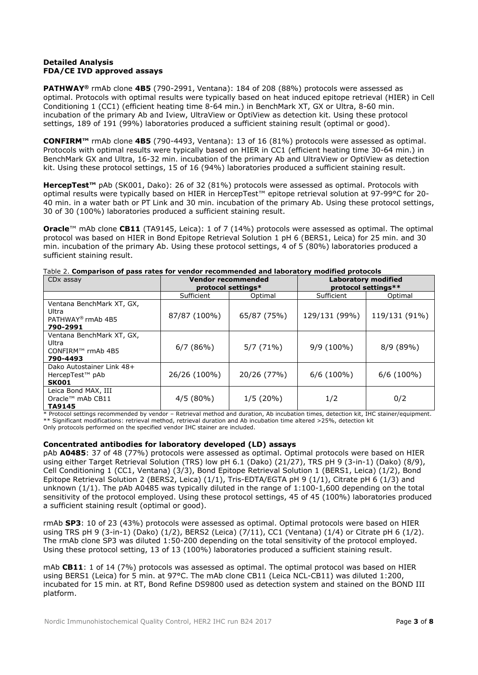## **Detailed Analysis FDA/CE IVD approved assays**

**PATHWAY®** rmAb clone **4B5** (790-2991, Ventana): 184 of 208 (88%) protocols were assessed as optimal. Protocols with optimal results were typically based on heat induced epitope retrieval (HIER) in Cell Conditioning 1 (CC1) (efficient heating time 8-64 min.) in BenchMark XT, GX or Ultra, 8-60 min. incubation of the primary Ab and Iview, UltraView or OptiView as detection kit. Using these protocol settings, 189 of 191 (99%) laboratories produced a sufficient staining result (optimal or good).

**CONFIRM™** rmAb clone **4B5** (790-4493, Ventana): 13 of 16 (81%) protocols were assessed as optimal. Protocols with optimal results were typically based on HIER in CC1 (efficient heating time 30-64 min.) in BenchMark GX and Ultra, 16-32 min. incubation of the primary Ab and UltraView or OptiView as detection kit. Using these protocol settings, 15 of 16 (94%) laboratories produced a sufficient staining result.

**HercepTest™** pAb (SK001, Dako): 26 of 32 (81%) protocols were assessed as optimal. Protocols with optimal results were typically based on HIER in HercepTest™ epitope retrieval solution at 97-99°C for 20- 40 min. in a water bath or PT Link and 30 min. incubation of the primary Ab. Using these protocol settings, 30 of 30 (100%) laboratories produced a sufficient staining result.

**Oracle**™ mAb clone **CB11** (TA9145, Leica): 1 of 7 (14%) protocols were assessed as optimal. The optimal protocol was based on HIER in Bond Epitope Retrieval Solution 1 pH 6 (BERS1, Leica) for 25 min. and 30 min. incubation of the primary Ab. Using these protocol settings, 4 of 5 (80%) laboratories produced a sufficient staining result.

| CD <sub>x</sub> assay                                                           | <b>Vendor recommended</b><br>protocol settings* |             | Laboratory modified<br>protocol settings** |               |  |
|---------------------------------------------------------------------------------|-------------------------------------------------|-------------|--------------------------------------------|---------------|--|
|                                                                                 | Sufficient                                      | Optimal     | Sufficient                                 | Optimal       |  |
| Ventana BenchMark XT, GX,<br>Ultra<br>PATHWAY <sup>®</sup> rmAb 4B5<br>790-2991 | 87/87 (100%)                                    | 65/87 (75%) | 129/131 (99%)                              | 119/131 (91%) |  |
| Ventana BenchMark XT, GX,<br>Ultra<br>CONFIRM™ rmAb 4B5<br>790-4493             | 6/7(86%)                                        | 5/7(71%)    | $9/9(100\%)$                               | $8/9(89\%)$   |  |
| Dako Autostainer Link 48+<br>HercepTest <sup>™</sup> pAb<br><b>SK001</b>        | 26/26 (100%)                                    | 20/26 (77%) | $6/6$ (100%)                               | $6/6$ (100%)  |  |
| Leica Bond MAX, III<br>Oracle™ mAb CB11<br>TA9145                               | $4/5(80\%)$                                     | 1/5(20%)    | 1/2                                        | 0/2           |  |

#### Table 2. **Comparison of pass rates for vendor recommended and laboratory modified protocols**

\* Protocol settings recommended by vendor – Retrieval method and duration, Ab incubation times, detection kit, IHC stainer/equipment. \*\* Significant modifications: retrieval method, retrieval duration and Ab incubation time altered >25%, detection kit Only protocols performed on the specified vendor IHC stainer are included.

#### **Concentrated antibodies for laboratory developed (LD) assays**

pAb **A0485**: 37 of 48 (77%) protocols were assessed as optimal. Optimal protocols were based on HIER using either Target Retrieval Solution (TRS) low pH 6.1 (Dako) (21/27), TRS pH 9 (3-in-1) (Dako) (8/9), Cell Conditioning 1 (CC1, Ventana) (3/3), Bond Epitope Retrieval Solution 1 (BERS1, Leica) (1/2), Bond Epitope Retrieval Solution 2 (BERS2, Leica) (1/1), Tris-EDTA/EGTA pH 9 (1/1), Citrate pH 6 (1/3) and unknown (1/1). The pAb A0485 was typically diluted in the range of 1:100-1,600 depending on the total sensitivity of the protocol employed. Using these protocol settings, 45 of 45 (100%) laboratories produced a sufficient staining result (optimal or good).

rmAb **SP3**: 10 of 23 (43%) protocols were assessed as optimal. Optimal protocols were based on HIER using TRS pH 9 (3-in-1) (Dako) (1/2), BERS2 (Leica) (7/11), CC1 (Ventana) (1/4) or Citrate pH 6 (1/2). The rmAb clone SP3 was diluted 1:50-200 depending on the total sensitivity of the protocol employed. Using these protocol setting, 13 of 13 (100%) laboratories produced a sufficient staining result.

mAb **CB11**: 1 of 14 (7%) protocols was assessed as optimal. The optimal protocol was based on HIER using BERS1 (Leica) for 5 min. at 97°C. The mAb clone CB11 (Leica NCL-CB11) was diluted 1:200, incubated for 15 min. at RT, Bond Refine DS9800 used as detection system and stained on the BOND III platform.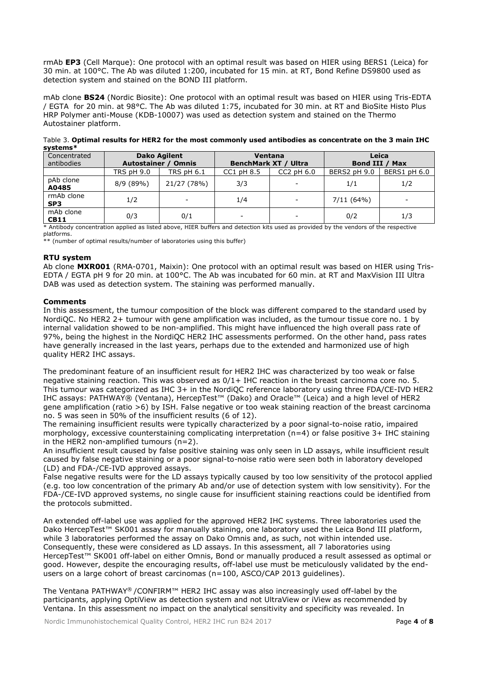rmAb **EP3** (Cell Marque): One protocol with an optimal result was based on HIER using BERS1 (Leica) for 30 min. at 100°C. The Ab was diluted 1:200, incubated for 15 min. at RT, Bond Refine DS9800 used as detection system and stained on the BOND III platform.

mAb clone **BS24** (Nordic Biosite): One protocol with an optimal result was based on HIER using Tris-EDTA / EGTA for 20 min. at 98°C. The Ab was diluted 1:75, incubated for 30 min. at RT and BioSite Histo Plus HRP Polymer anti-Mouse (KDB-10007) was used as detection system and stained on the Thermo Autostainer platform.

| -,------                   |                                                   |                          |                |                                        |                                   |              |  |
|----------------------------|---------------------------------------------------|--------------------------|----------------|----------------------------------------|-----------------------------------|--------------|--|
| Concentrated<br>antibodies | <b>Dako Agilent</b><br><b>Autostainer / Omnis</b> |                          |                | Ventana<br><b>BenchMark XT / Ultra</b> | Leica<br>Bond III /<br><b>Max</b> |              |  |
|                            | <b>TRS pH 9.0</b>                                 | <b>TRS pH 6.1</b>        | $CC1$ pH $8.5$ | $CC2$ pH $6.0$                         | BERS2 pH 9.0                      | BERS1 pH 6.0 |  |
| pAb clone<br>A0485         | 8/9(89%)                                          | 21/27 (78%)              | 3/3            | -                                      | 1/1                               | 1/2          |  |
| rmAb clone<br>SP3          | 1/2                                               | $\overline{\phantom{a}}$ | 1/4            | $\overline{\phantom{a}}$               | 7/11(64%)                         | $\sim$       |  |
| mAb clone<br><b>CB11</b>   | 0/3                                               | 0/1                      |                | -                                      | 0/2                               | 1/3          |  |

Table 3. **Optimal results for HER2 for the most commonly used antibodies as concentrate on the 3 main IHC systems\***

\* Antibody concentration applied as listed above, HIER buffers and detection kits used as provided by the vendors of the respective platforms.

\*\* (number of optimal results/number of laboratories using this buffer)

#### **RTU system**

Ab clone **MXR001** (RMA-0701, Maixin): One protocol with an optimal result was based on HIER using Tris-EDTA / EGTA pH 9 for 20 min. at 100°C. The Ab was incubated for 60 min. at RT and MaxVision III Ultra DAB was used as detection system. The staining was performed manually.

## **Comments**

In this assessment, the tumour composition of the block was different compared to the standard used by NordiQC. No HER2 2+ tumour with gene amplification was included, as the tumour tissue core no. 1 by internal validation showed to be non-amplified. This might have influenced the high overall pass rate of 97%, being the highest in the NordiQC HER2 IHC assessments performed. On the other hand, pass rates have generally increased in the last years, perhaps due to the extended and harmonized use of high quality HER2 IHC assays.

The predominant feature of an insufficient result for HER2 IHC was characterized by too weak or false negative staining reaction. This was observed as 0/1+ IHC reaction in the breast carcinoma core no. 5. This tumour was categorized as IHC 3+ in the NordiQC reference laboratory using three FDA/CE-IVD HER2 IHC assays: PATHWAY® (Ventana), HercepTest™ (Dako) and Oracle™ (Leica) and a high level of HER2 gene amplification (ratio >6) by ISH. False negative or too weak staining reaction of the breast carcinoma no. 5 was seen in 50% of the insufficient results (6 of 12).

The remaining insufficient results were typically characterized by a poor signal-to-noise ratio, impaired morphology, excessive counterstaining complicating interpretation (n=4) or false positive 3+ IHC staining in the HER2 non-amplified tumours (n=2).

An insufficient result caused by false positive staining was only seen in LD assays, while insufficient result caused by false negative staining or a poor signal-to-noise ratio were seen both in laboratory developed (LD) and FDA-/CE-IVD approved assays.

False negative results were for the LD assays typically caused by too low sensitivity of the protocol applied (e.g. too low concentration of the primary Ab and/or use of detection system with low sensitivity). For the FDA-/CE-IVD approved systems, no single cause for insufficient staining reactions could be identified from the protocols submitted.

An extended off-label use was applied for the approved HER2 IHC systems. Three laboratories used the Dako HercepTest™ SK001 assay for manually staining, one laboratory used the Leica Bond III platform, while 3 laboratories performed the assay on Dako Omnis and, as such, not within intended use. Consequently, these were considered as LD assays. In this assessment, all 7 laboratories using HercepTest™ SK001 off-label on either Omnis, Bond or manually produced a result assessed as optimal or good. However, despite the encouraging results, off-label use must be meticulously validated by the endusers on a large cohort of breast carcinomas (n=100, ASCO/CAP 2013 guidelines).

The Ventana PATHWAY® /CONFIRM™ HER2 IHC assay was also increasingly used off-label by the participants, applying OptiView as detection system and not UltraView or iView as recommended by Ventana. In this assessment no impact on the analytical sensitivity and specificity was revealed. In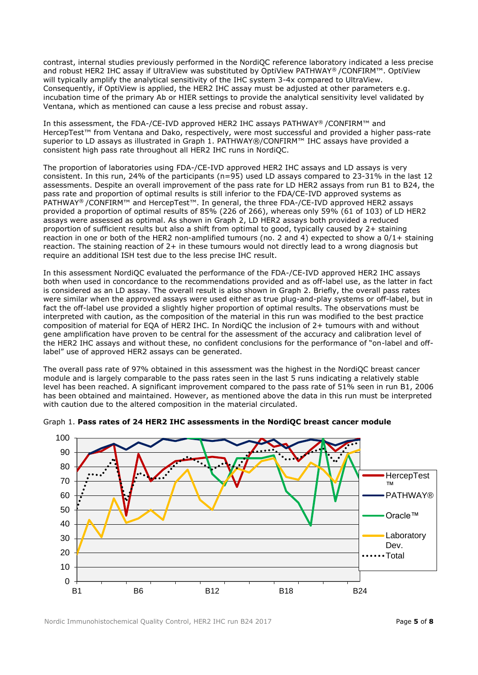contrast, internal studies previously performed in the NordiQC reference laboratory indicated a less precise and robust HER2 IHC assay if UltraView was substituted by OptiView PATHWAY® /CONFIRM™. OptiView will typically amplify the analytical sensitivity of the IHC system 3-4x compared to UltraView. Consequently, if OptiView is applied, the HER2 IHC assay must be adjusted at other parameters e.g. incubation time of the primary Ab or HIER settings to provide the analytical sensitivity level validated by Ventana, which as mentioned can cause a less precise and robust assay.

In this assessment, the FDA-/CE-IVD approved HER2 IHC assays PATHWAY® /CONFIRM™ and HercepTest™ from Ventana and Dako, respectively, were most successful and provided a higher pass-rate superior to LD assays as illustrated in Graph 1. PATHWAY®/CONFIRM™ IHC assays have provided a consistent high pass rate throughout all HER2 IHC runs in NordiQC.

The proportion of laboratories using FDA-/CE-IVD approved HER2 IHC assays and LD assays is very consistent. In this run, 24% of the participants (n=95) used LD assays compared to 23-31% in the last 12 assessments. Despite an overall improvement of the pass rate for LD HER2 assays from run B1 to B24, the pass rate and proportion of optimal results is still inferior to the FDA/CE-IVD approved systems as PATHWAY<sup>®</sup> /CONFIRM™ and HercepTest<sup>™</sup>. In general, the three FDA-/CE-IVD approved HER2 assays provided a proportion of optimal results of 85% (226 of 266), whereas only 59% (61 of 103) of LD HER2 assays were assessed as optimal. As shown in Graph 2, LD HER2 assays both provided a reduced proportion of sufficient results but also a shift from optimal to good, typically caused by 2+ staining reaction in one or both of the HER2 non-amplified tumours (no. 2 and 4) expected to show a 0/1+ staining reaction. The staining reaction of 2+ in these tumours would not directly lead to a wrong diagnosis but require an additional ISH test due to the less precise IHC result.

In this assessment NordiQC evaluated the performance of the FDA-/CE-IVD approved HER2 IHC assays both when used in concordance to the recommendations provided and as off-label use, as the latter in fact is considered as an LD assay. The overall result is also shown in Graph 2. Briefly, the overall pass rates were similar when the approved assays were used either as true plug-and-play systems or off-label, but in fact the off-label use provided a slightly higher proportion of optimal results. The observations must be interpreted with caution, as the composition of the material in this run was modified to the best practice composition of material for EQA of HER2 IHC. In NordiQC the inclusion of 2+ tumours with and without gene amplification have proven to be central for the assessment of the accuracy and calibration level of the HER2 IHC assays and without these, no confident conclusions for the performance of "on-label and offlabel" use of approved HER2 assays can be generated.

The overall pass rate of 97% obtained in this assessment was the highest in the NordiQC breast cancer module and is largely comparable to the pass rates seen in the last 5 runs indicating a relatively stable level has been reached. A significant improvement compared to the pass rate of 51% seen in run B1, 2006 has been obtained and maintained. However, as mentioned above the data in this run must be interpreted with caution due to the altered composition in the material circulated.



## Graph 1. **Pass rates of 24 HER2 IHC assessments in the NordiQC breast cancer module**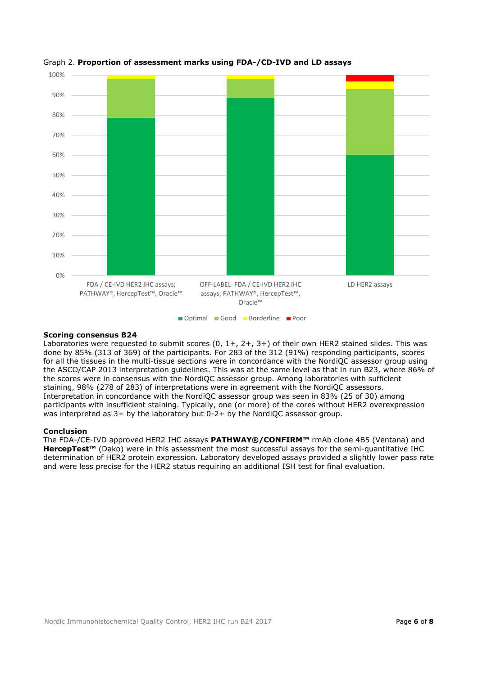

## Graph 2. **Proportion of assessment marks using FDA-/CD-IVD and LD assays**

#### **Scoring consensus B24**

Laboratories were requested to submit scores (0, 1+, 2+, 3+) of their own HER2 stained slides. This was done by 85% (313 of 369) of the participants. For 283 of the 312 (91%) responding participants, scores for all the tissues in the multi-tissue sections were in concordance with the NordiQC assessor group using the ASCO/CAP 2013 interpretation guidelines. This was at the same level as that in run B23, where 86% of the scores were in consensus with the NordiQC assessor group. Among laboratories with sufficient staining, 98% (278 of 283) of interpretations were in agreement with the NordiQC assessors. Interpretation in concordance with the NordiQC assessor group was seen in 83% (25 of 30) among participants with insufficient staining. Typically, one (or more) of the cores without HER2 overexpression was interpreted as 3+ by the laboratory but 0-2+ by the NordiQC assessor group.

#### **Conclusion**

The FDA-/CE-IVD approved HER2 IHC assays **PATHWAY®/CONFIRM™** rmAb clone 4B5 (Ventana) and **HercepTest™** (Dako) were in this assessment the most successful assays for the semi-quantitative IHC determination of HER2 protein expression. Laboratory developed assays provided a slightly lower pass rate and were less precise for the HER2 status requiring an additional ISH test for final evaluation.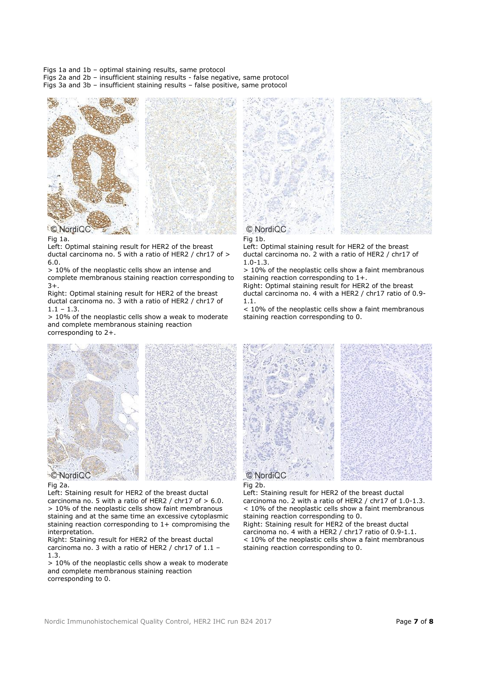Figs 1a and 1b – optimal staining results, same protocol

Figs 2a and 2b – insufficient staining results - false negative, same protocol Figs 3a and 3b – insufficient staining results – false positive, same protocol





Fig 1a.

Left: Optimal staining result for HER2 of the breast ductal carcinoma no. 5 with a ratio of HER2 / chr17 of > 6.0.

> 10% of the neoplastic cells show an intense and complete membranous staining reaction corresponding to 3+.

Right: Optimal staining result for HER2 of the breast ductal carcinoma no. 3 with a ratio of HER2 / chr17 of  $1.1 - 1.3$ 

> 10% of the neoplastic cells show a weak to moderate and complete membranous staining reaction corresponding to 2+.



Fig 1b.

Left: Optimal staining result for HER2 of the breast ductal carcinoma no. 2 with a ratio of HER2 / chr17 of 1.0-1.3.

> 10% of the neoplastic cells show a faint membranous staining reaction corresponding to 1+.

Right: Optimal staining result for HER2 of the breast ductal carcinoma no. 4 with a HER2 / chr17 ratio of 0.9- 1.1.

< 10% of the neoplastic cells show a faint membranous staining reaction corresponding to 0.



#### Fig 2a.

Left: Staining result for HER2 of the breast ductal carcinoma no. 5 with a ratio of HER2 / chr17 of  $> 6.0$ . > 10% of the neoplastic cells show faint membranous staining and at the same time an excessive cytoplasmic staining reaction corresponding to  $1+$  compromising the interpretation.

Right: Staining result for HER2 of the breast ductal carcinoma no. 3 with a ratio of HER2 / chr17 of  $1.1$  -1.3.

> 10% of the neoplastic cells show a weak to moderate and complete membranous staining reaction corresponding to 0.





Left: Staining result for HER2 of the breast ductal carcinoma no. 2 with a ratio of HER2 / chr17 of 1.0-1.3. < 10% of the neoplastic cells show a faint membranous staining reaction corresponding to 0. Right: Staining result for HER2 of the breast ductal

carcinoma no. 4 with a HER2 / chr17 ratio of 0.9-1.1. < 10% of the neoplastic cells show a faint membranous staining reaction corresponding to 0.